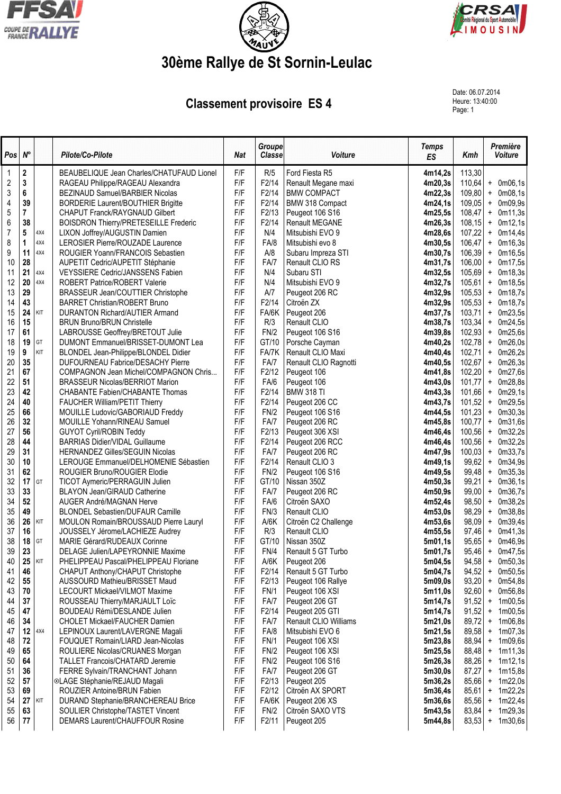





## **30ème Rallye de St Sornin-Leulac**

## **Classement provisoire ES 4**

Date: 06.07.2014 Heure: 13:40:00<br>Page: 1

| Pos            | $N^{\circ}$ |     | Pilote/Co-Pilote                                                      | <b>Nat</b> | <b>Groupe</b><br><b>Classe</b> | Voiture                        | <b>Temps</b><br><b>ES</b> | Kmh            | Première<br>Voiture                          |
|----------------|-------------|-----|-----------------------------------------------------------------------|------------|--------------------------------|--------------------------------|---------------------------|----------------|----------------------------------------------|
| -1             | $\bf 2$     |     | BEAUBELIQUE Jean Charles/CHATUFAUD Lionel                             | F/F        | R/5                            | Ford Fiesta R5                 | 4m14,2s                   | 113,30         |                                              |
| $\sqrt{2}$     | $\mathbf 3$ |     | RAGEAU Philippe/RAGEAU Alexandra                                      | F/F        | F2/14                          | Renault Megane maxi            | 4m20,3s                   | 110,64         | 0m06,1s<br>$+$                               |
| 3              | 6           |     | BEZINAUD Samuel/BARBIER Nicolas                                       | F/F        | F2/14                          | <b>BMW COMPACT</b>             | 4m22,3s                   | 109,80         | 0m08,1s<br>$\ddag$                           |
| 4              | 39          |     | <b>BORDERIE Laurent/BOUTHIER Brigitte</b>                             | F/F        | F2/14                          | BMW 318 Compact                | 4m24,1s                   | 109,05         | 0m09,9s<br>$\ddag$                           |
| 5              | 7           |     | <b>CHAPUT Franck/RAYGNAUD Gilbert</b>                                 | F/F        | F2/13                          | Peugeot 106 S16                | 4m25,5s                   | 108,47         | 0m11,3s<br>$\ddot{}$                         |
| 6              | 38          |     | <b>BOISDRON Thierry/PRETESEILLE Frederic</b>                          | F/F        | F2/14                          | <b>Renault MEGANE</b>          | 4m26,3s                   | 108,15         | 0m12,1s<br>$\ddot{}$                         |
| $\overline{7}$ | 5           | 4X4 | LIXON Joffrey/AUGUSTIN Damien                                         | F/F        | N/4                            | Mitsubishi EVO 9               | 4m28.6s                   | 107,22         | 0m14,4s<br>$\ddot{}$                         |
| 8              | 1           | 4X4 | LEROSIER Pierre/ROUZADE Laurence                                      | F/F        | FA/8                           | Mitsubishi evo 8               | 4m30,5s                   | 106,47         | $\ddot{}$<br>0m16,3s                         |
| 9              | 11          | 4X4 | ROUGIER Yoann/FRANCOIS Sebastien                                      | F/F        | A/8                            | Subaru Impreza STI             | 4m30,7s                   | 106,39         | 0m16,5s<br>$\ddag$                           |
| 10             | 28          |     | AUPETIT Cedric/AUPETIT Stéphanie                                      | F/F        | FA/7                           | Renault CLIO RS                | 4m31,7s                   | 106,00         | $+$<br>0m17,5s                               |
| 11             | 21          | 4X4 | <b>VEYSSIERE Cedric/JANSSENS Fabien</b>                               | F/F        | N/4                            | Subaru STI                     | 4m32,5s                   | 105,69         | 0m18,3s<br>$\ddag$                           |
| 12             | 20          | 4X4 | ROBERT Patrice/ROBERT Valerie                                         | F/F        | N/4                            | Mitsubishi EVO 9               | 4m32,7s                   | 105,61         | 0m18,5s<br>$+$                               |
| 13             | 29          |     | BRASSEUR Jean/COUTTIER Christophe                                     | F/F        | A/7                            | Peugeot 206 RC                 | 4m32,9s                   | 105,53         | 0m18,7s<br>$\ddag$                           |
| 14             | 43          |     | <b>BARRET Christian/ROBERT Bruno</b>                                  | F/F        | F2/14                          | Citroën ZX                     | 4m32,9s                   | 105,53         | 0m18,7s<br>$+$                               |
| 15             | 24          | KIT | DURANTON Richard/AUTIER Armand                                        | F/F        | FA/6K                          | Peugeot 206                    | 4m37,7s                   | 103,71         | 0m23,5s<br>$\ddot{}$                         |
| 16             | 15          |     | <b>BRUN Bruno/BRUN Christelle</b>                                     | F/F        | R/3                            | Renault CLIO                   | 4m38,7s                   | 103,34         | 0m24,5s<br>$\ddot{}$                         |
| 17             | 61          |     | LABROUSSE Geoffrey/BRETOUT Julie                                      | F/F        | FN/2                           | Peugeot 106 S16                | 4m39,8s                   | 102,93         | 0m25,6s<br>$\ddot{}$                         |
| 18             | 19          | GT  | DUMONT Emmanuel/BRISSET-DUMONT Lea                                    | F/F        | GT/10                          | Porsche Cayman                 | 4m40,2s                   | 102,78         | 0m26,0s<br>$\ddot{}$                         |
| 19             | 9           | KIT | BLONDEL Jean-Philippe/BLONDEL Didier                                  | F/F        | FA/7K                          | Renault CLIO Maxi              | 4m40,4s                   | 102,71         | 0m26,2s<br>$\pmb{+}$                         |
| 20             | 35          |     | DUFOURNEAU Fabrice/DESACHY Pierre                                     | F/F        | FA/7                           | Renault CLIO Ragnotti          | 4m40,5s                   | 102,67         | 0m26,3s<br>$\ddot{}$                         |
| 21             | 67          |     | COMPAGNON Jean Michel/COMPAGNON Chris                                 | F/F        | F2/12                          | Peugeot 106                    | 4m41,8s                   | 102,20         | 0m27,6s<br>$\ddag$                           |
| 22             | 51          |     | <b>BRASSEUR Nicolas/BERRIOT Marion</b>                                | F/F        | FA/6                           | Peugeot 106                    | 4m43,0s                   | 101,77         | + 0m28,8s                                    |
| 23             | 42          |     | CHABANTE Fabien/CHABANTE Thomas                                       | F/F        | F2/14                          | <b>BMW 318 TI</b>              | 4m43,3s                   | 101,66         | 0m29,1s<br>$\ddag$                           |
| 24             | 40          |     | <b>FAUCHER William/PETIT Thierry</b>                                  | F/F        | F2/14                          | Peugeot 206 CC                 | 4m43,7s                   | 101,52         | 0m29,5s<br>$\ddag$                           |
| 25             | 66          |     | MOUILLE Ludovic/GABORIAUD Freddy                                      | F/F        | FN/2                           | Peugeot 106 S16                | 4m44,5s                   | 101,23         | 0m30,3s<br>$\ddot{}$                         |
| 26             | 32          |     | MOUILLE Yohann/RINEAU Samuel                                          | F/F        | FA/7                           | Peugeot 206 RC                 | 4m45,8s                   | 100,77         | 0m31,6s<br>$+$                               |
| 27             | 56          |     | <b>GUYOT Cyril/ROBIN Teddy</b>                                        | F/F        | F2/13                          | Peugeot 306 XSI                | 4m46,4s                   | 100,56         | 0m32,2s<br>$\pmb{+}$                         |
| 28             | 44          |     | <b>BARRIAS Didier/VIDAL Guillaume</b>                                 | F/F        | F2/14                          | Peugeot 206 RCC                | 4m46,4s                   | 100,56         | 0m32,2s<br>$\pmb{+}$                         |
| 29             | 31          |     | <b>HERNANDEZ Gilles/SEGUIN Nicolas</b>                                | F/F        | FA/7                           | Peugeot 206 RC                 | 4m47,9s                   | 100,03         | 0m33,7s<br>$\pmb{+}$                         |
| 30<br>31       | 10<br>62    |     | LEROUGE Emmanuel/DELHOMENIE Sébastien                                 | F/F<br>F/F | F2/14                          | Renault CLIO 3                 | 4m49,1s                   | 99,62          | 0m34,9s<br>$\begin{array}{c} + \end{array}$  |
| 32             | 17          | GT  | ROUGIER Bruno/ROUGIER Elodie                                          | F/F        | FN/2<br>GT/10                  | Peugeot 106 S16<br>Nissan 350Z | 4m49,5s<br>4m50,3s        | 99,48<br>99,21 | 0m35,3s<br>$\pmb{+}$<br>0m36,1s<br>$\pmb{+}$ |
| 33             | 33          |     | TICOT Aymeric/PERRAGUIN Julien<br><b>BLAYON Jean/GIRAUD Catherine</b> | F/F        | FA/7                           | Peugeot 206 RC                 | 4m50,9s                   | 99,00          | 0m36,7s<br>$\pmb{+}$                         |
| 34             | 52          |     | AUGER André/MAGNAN Herve                                              | F/F        | FA/6                           | Citroën SAXO                   | 4m52,4s                   | 98,50          | 0m38,2s<br>$\pmb{+}$                         |
| 35             | 49          |     | <b>BLONDEL Sebastien/DUFAUR Camille</b>                               | F/F        | FN/3                           | Renault CLIO                   | 4m53,0s                   | 98,29          | 0m38,8s<br>$\pmb{+}$                         |
| 36             | 26          | KIT | MOULON Romain/BROUSSAUD Pierre Lauryl                                 | F/F        | A/6K                           | Citroën C2 Challenge           | 4m53,6s                   | 98,09          | 0m39,4s<br>$\pmb{+}$                         |
| 37             | 16          |     | JOUSSELY Jérome/LACHIEZE Audrey                                       | F/F        | R/3                            | Renault CLIO                   | 4m55,5s                   | 97,46          | 0m41,3s<br>$\ddag$                           |
| 38             | 18          | GT  | MARIE Gérard/RUDEAUX Corinne                                          | F/F        | GT/10                          | Nissan 350Z                    | 5m01,1s                   | 95,65          | 0m46,9s<br>$+$                               |
| 39             | 23          |     | DELAGE Julien/LAPEYRONNIE Maxime                                      | F/F        | FN/4                           | Renault 5 GT Turbo             | 5m01,7s                   | 95,46          | + 0m47,5s                                    |
| 40             | 25          | KIT | PHELIPPEAU Pascal/PHELIPPEAU Floriane                                 | F/F        | A/6K                           | Peugeot 206                    | 5m04,5s                   |                | $94,58$ + 0m50,3s                            |
| 41             | 46          |     | CHAPUT Anthony/CHAPUT Christophe                                      | F/F        | F2/14                          | Renault 5 GT Turbo             | 5m04,7s                   | 94,52          | $\ddag$<br>0m50,5s                           |
| 42             | 55          |     | AUSSOURD Mathieu/BRISSET Maud                                         | F/F        | F2/13                          | Peugeot 106 Rallye             | 5m09,0s                   | 93,20          | 0m54,8s<br>$\ddot{}$                         |
| 43             | 70          |     | LECOURT Mickael/VILMOT Maxime                                         | F/F        | FN/1                           | Peugeot 106 XSI                | 5m11,0s                   | 92,60          | $\ddag$<br>0m56,8s                           |
| 44             | 37          |     | ROUSSEAU Thierry/MARJAULT Loïc                                        | F/F        | FA/7                           | Peugeot 206 GT                 | 5m14,7s                   | 91,52          | $\pmb{+}$<br>1m00,5s                         |
| 45             | 47          |     | BOUDEAU Rémi/DESLANDE Julien                                          | F/F        | F2/14                          | Peugeot 205 GTI                | 5m14,7s                   | 91,52          | $\ddot{}$<br>1m00,5s                         |
| 46             | 34          |     | CHOLET Mickael/FAUCHER Damien                                         | F/F        | FA/7                           | Renault CLIO Williams          | 5m21,0s                   | 89,72          | $\ddag$<br>1m06,8s                           |
| 47             | 12          | 4X4 | LEPINOUX Laurent/LAVERGNE Magali                                      | F/F        | FA/8                           | Mitsubishi EVO 6               | 5m21,5s                   | 89,58          | 1m07,3s<br>$\pmb{+}$                         |
| 48             | 72          |     | FOUQUET Romain/LIARD Jean-Nicolas                                     | F/F        | FN/1                           | Peugeot 106 XSI                | 5m23,8s                   | 88,94          | 1m09,6s<br>$\ddag$                           |
| 49             | 65          |     | ROULIERE Nicolas/CRUANES Morgan                                       | F/F        | FN/2                           | Peugeot 106 XSI                | 5m25,5s                   | 88,48          | 1m11,3s<br>$\ddot{}$                         |
| 50             | 64          |     | <b>TALLET Francois/CHATARD Jeremie</b>                                | F/F        | FN/2                           | Peugeot 106 S16                | 5m26,3s                   | 88,26          | 1m12,1s<br>$\ddot{}$                         |
| 51             | 36          |     | FERRE Sylvain/TRANCHANT Johann                                        | F/F        | FA/7                           | Peugeot 206 GT                 | 5m30,0s                   | 87,27          | 1m15,8s<br>$\ddot{}$                         |
| 52             | 57          |     | ©LAGE Stéphanie/REJAUD Magali                                         | F/F        | F2/13                          | Peugeot 205                    | 5m36,2s                   | 85,66          | 1m22,0s<br>$\pmb{+}$                         |
| 53             | 69          |     | ROUZIER Antoine/BRUN Fabien                                           | F/F        | F2/12                          | Citroën AX SPORT               | 5m36,4s                   | 85,61          | 1m22,2s<br>$\pmb{+}$                         |
| 54             | 27          | KIT | DURAND Stephanie/BRANCHEREAU Brice                                    | F/F        | FA/6K                          | Peugeot 206 XS                 | 5m36,6s                   | 85,56          | 1m22,4s<br>$\pmb{+}$                         |
| 55             | 63          |     | SOULIER Christophe/TASTET Vincent                                     | F/F        | FN/2                           | Citroën SAXO VTS               | 5m43,5s                   | 83,84          | 1m29,3s<br>$\ddag$                           |
| 56             | 77          |     | DEMARS Laurent/CHAUFFOUR Rosine                                       | F/F        | F2/11                          | Peugeot 205                    | 5m44,8s                   | 83,53          | 1m30,6s<br>$\pmb{+}$                         |
|                |             |     |                                                                       |            |                                |                                |                           |                |                                              |